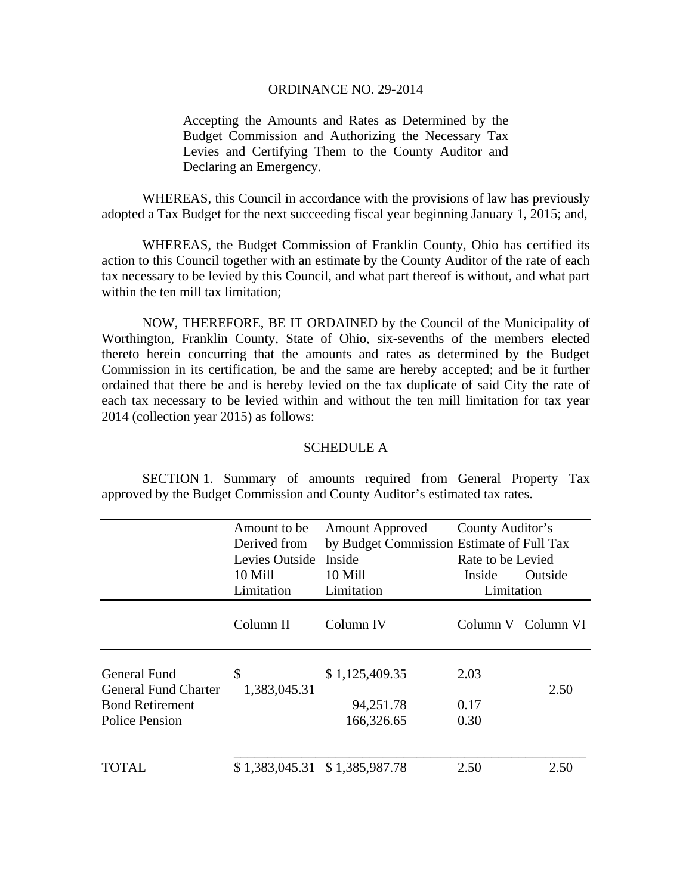## ORDINANCE NO. 29-2014

Accepting the Amounts and Rates as Determined by the Budget Commission and Authorizing the Necessary Tax Levies and Certifying Them to the County Auditor and Declaring an Emergency.

 WHEREAS, this Council in accordance with the provisions of law has previously adopted a Tax Budget for the next succeeding fiscal year beginning January 1, 2015; and,

 WHEREAS, the Budget Commission of Franklin County, Ohio has certified its action to this Council together with an estimate by the County Auditor of the rate of each tax necessary to be levied by this Council, and what part thereof is without, and what part within the ten mill tax limitation;

 NOW, THEREFORE, BE IT ORDAINED by the Council of the Municipality of Worthington, Franklin County, State of Ohio, six-sevenths of the members elected thereto herein concurring that the amounts and rates as determined by the Budget Commission in its certification, be and the same are hereby accepted; and be it further ordained that there be and is hereby levied on the tax duplicate of said City the rate of each tax necessary to be levied within and without the ten mill limitation for tax year 2014 (collection year 2015) as follows:

## SCHEDULE A

 SECTION 1. Summary of amounts required from General Property Tax approved by the Budget Commission and County Auditor's estimated tax rates.

|                                                    | Amount to be       | <b>Amount Approved</b>                    | County Auditor's<br>Rate to be Levied |                    |
|----------------------------------------------------|--------------------|-------------------------------------------|---------------------------------------|--------------------|
|                                                    | Derived from       | by Budget Commission Estimate of Full Tax |                                       |                    |
|                                                    | Levies Outside     | Inside                                    |                                       |                    |
|                                                    | 10 Mill            | 10 Mill                                   | Inside                                | Outside            |
|                                                    | Limitation         | Limitation                                | Limitation                            |                    |
|                                                    | Column II          | Column IV                                 |                                       | Column V Column VI |
| <b>General Fund</b><br><b>General Fund Charter</b> | \$<br>1,383,045.31 | \$1,125,409.35                            | 2.03                                  | 2.50               |
| <b>Bond Retirement</b>                             |                    | 94,251.78                                 | 0.17                                  |                    |
| Police Pension                                     |                    | 166,326.65                                | 0.30                                  |                    |
| TOTAL                                              |                    | \$1,383,045.31 \$1,385,987.78             | 2.50                                  | 2.50               |